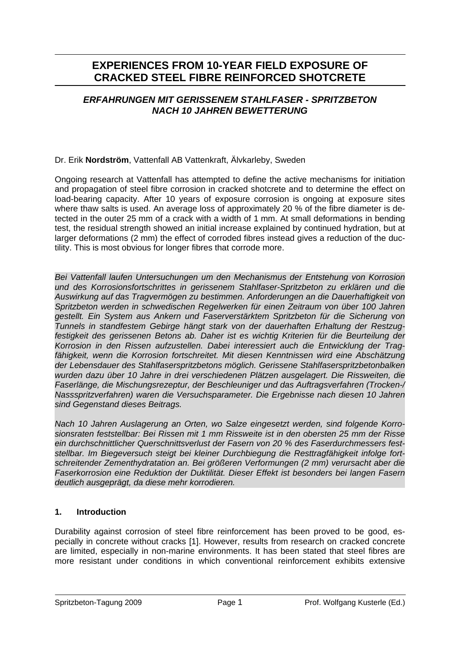# **EXPERIENCES FROM 10-YEAR FIELD EXPOSURE OF CRACKED STEEL FIBRE REINFORCED SHOTCRETE**

# *ERFAHRUNGEN MIT GERISSENEM STAHLFASER - SPRITZBETON NACH 10 JAHREN BEWETTERUNG*

# Dr. Erik **Nordström**, Vattenfall AB Vattenkraft, Älvkarleby, Sweden

Ongoing research at Vattenfall has attempted to define the active mechanisms for initiation and propagation of steel fibre corrosion in cracked shotcrete and to determine the effect on load-bearing capacity. After 10 years of exposure corrosion is ongoing at exposure sites where thaw salts is used. An average loss of approximately 20 % of the fibre diameter is detected in the outer 25 mm of a crack with a width of 1 mm. At small deformations in bending test, the residual strength showed an initial increase explained by continued hydration, but at larger deformations (2 mm) the effect of corroded fibres instead gives a reduction of the ductility. This is most obvious for longer fibres that corrode more.

*Bei Vattenfall laufen Untersuchungen um den Mechanismus der Entstehung von Korrosion und des Korrosionsfortschrittes in gerissenem Stahlfaser-Spritzbeton zu erklären und die Auswirkung auf das Tragvermögen zu bestimmen. Anforderungen an die Dauerhaftigkeit von Spritzbeton werden in schwedischen Regelwerken für einen Zeitraum von über 100 Jahren gestellt. Ein System aus Ankern und Faserverstärktem Spritzbeton für die Sicherung von Tunnels in standfestem Gebirge hängt stark von der dauerhaften Erhaltung der Restzugfestigkeit des gerissenen Betons ab. Daher ist es wichtig Kriterien für die Beurteilung der Korrosion in den Rissen aufzustellen. Dabei interessiert auch die Entwicklung der Tragfähigkeit, wenn die Korrosion fortschreitet. Mit diesen Kenntnissen wird eine Abschätzung der Lebensdauer des Stahlfaserspritzbetons möglich. Gerissene Stahlfaserspritzbetonbalken wurden dazu über 10 Jahre in drei verschiedenen Plätzen ausgelagert. Die Rissweiten, die Faserlänge, die Mischungsrezeptur, der Beschleuniger und das Auftragsverfahren (Trocken-/ Nassspritzverfahren) waren die Versuchsparameter. Die Ergebnisse nach diesen 10 Jahren sind Gegenstand dieses Beitrags.* 

*Nach 10 Jahren Auslagerung an Orten, wo Salze eingesetzt werden, sind folgende Korrosionsraten feststellbar: Bei Rissen mit 1 mm Rissweite ist in den obersten 25 mm der Risse ein durchschnittlicher Querschnittsverlust der Fasern von 20 % des Faserdurchmessers feststellbar. Im Biegeversuch steigt bei kleiner Durchbiegung die Resttragfähigkeit infolge fortschreitender Zementhydratation an. Bei größeren Verformungen (2 mm) verursacht aber die Faserkorrosion eine Reduktion der Duktilität. Dieser Effekt ist besonders bei langen Fasern deutlich ausgeprägt, da diese mehr korrodieren.* 

# **1. Introduction**

Durability against corrosion of steel fibre reinforcement has been proved to be good, especially in concrete without cracks [1]. However, results from research on cracked concrete are limited, especially in non-marine environments. It has been stated that steel fibres are more resistant under conditions in which conventional reinforcement exhibits extensive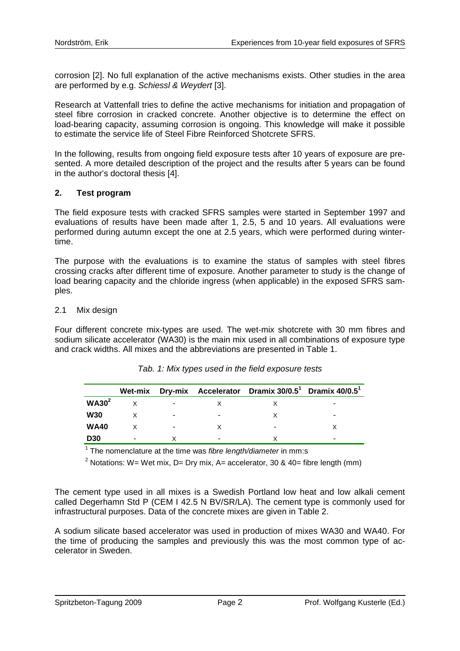corrosion [2]. No full explanation of the active mechanisms exists. Other studies in the area are performed by e.g. *Schiessl & Weydert* [3].

Research at Vattenfall tries to define the active mechanisms for initiation and propagation of steel fibre corrosion in cracked concrete. Another objective is to determine the effect on load-bearing capacity, assuming corrosion is ongoing. This knowledge will make it possible to estimate the service life of Steel Fibre Reinforced Shotcrete SFRS.

In the following, results from ongoing field exposure tests after 10 years of exposure are presented. A more detailed description of the project and the results after 5 years can be found in the author's doctoral thesis [4].

### **2. Test program**

The field exposure tests with cracked SFRS samples were started in September 1997 and evaluations of results have been made after 1, 2.5, 5 and 10 years. All evaluations were performed during autumn except the one at 2.5 years, which were performed during wintertime.

The purpose with the evaluations is to examine the status of samples with steel fibres crossing cracks after different time of exposure. Another parameter to study is the change of load bearing capacity and the chloride ingress (when applicable) in the exposed SFRS samples.

### 2.1 Mix design

Four different concrete mix-types are used. The wet-mix shotcrete with 30 mm fibres and sodium silicate accelerator (WA30) is the main mix used in all combinations of exposure type and crack widths. All mixes and the abbreviations are presented in Table 1.

|                   | Wet-mix |   |   | Dry-mix Accelerator Dramix 30/0.5 <sup>1</sup> Dramix 40/0.5 <sup>1</sup> |   |
|-------------------|---------|---|---|---------------------------------------------------------------------------|---|
| WA30 <sup>2</sup> |         |   |   |                                                                           | - |
| <b>W30</b>        |         |   |   |                                                                           | - |
| <b>WA40</b>       |         | ۰ |   | ۰                                                                         |   |
| <b>D30</b>        | -       |   | - |                                                                           | - |

*Tab. 1: Mix types used in the field exposure tests* 

1 The nomenclature at the time was *fibre length/diameter* in mm:s

<sup>2</sup> Notations: W= Wet mix, D= Dry mix, A= accelerator, 30 & 40= fibre length (mm)

The cement type used in all mixes is a Swedish Portland low heat and low alkali cement called Degerhamn Std P (CEM I 42.5 N BV/SR/LA). The cement type is commonly used for infrastructural purposes. Data of the concrete mixes are given in Table 2.

A sodium silicate based accelerator was used in production of mixes WA30 and WA40. For the time of producing the samples and previously this was the most common type of accelerator in Sweden.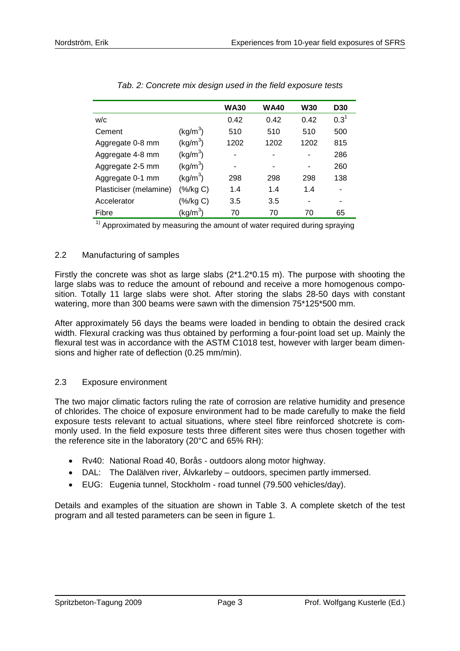|                        |                               | <b>WA30</b> | <b>WA40</b> | <b>W30</b> | <b>D30</b> |
|------------------------|-------------------------------|-------------|-------------|------------|------------|
| W/C                    |                               | 0.42        | 0.42        | 0.42       | $0.3^1$    |
| Cement                 | $\left(\frac{kg}{m^3}\right)$ | 510         | 510         | 510        | 500        |
| Aggregate 0-8 mm       | (kg/m <sup>3</sup> )          | 1202        | 1202        | 1202       | 815        |
| Aggregate 4-8 mm       | (kg/m <sup>3</sup> )          | ۰           |             |            | 286        |
| Aggregate 2-5 mm       | (kg/m <sup>3</sup> )          | ٠           |             |            | 260        |
| Aggregate 0-1 mm       | (kg/m <sup>3</sup> )          | 298         | 298         | 298        | 138        |
| Plasticiser (melamine) | (%/kg C)                      | 1.4         | 1.4         | 1.4        | ۰          |
| Accelerator            | (%/kg C)                      | 3.5         | 3.5         | ۰          | ۰          |
| Fibre                  | (kg/m <sup>3</sup> )          | 70          | 70          | 70         | 65         |

*Tab. 2: Concrete mix design used in the field exposure tests* 

 $1)$  Approximated by measuring the amount of water required during spraying

### 2.2 Manufacturing of samples

Firstly the concrete was shot as large slabs (2\*1.2\*0.15 m). The purpose with shooting the large slabs was to reduce the amount of rebound and receive a more homogenous composition. Totally 11 large slabs were shot. After storing the slabs 28-50 days with constant watering, more than 300 beams were sawn with the dimension 75\*125\*500 mm.

After approximately 56 days the beams were loaded in bending to obtain the desired crack width. Flexural cracking was thus obtained by performing a four-point load set up. Mainly the flexural test was in accordance with the ASTM C1018 test, however with larger beam dimensions and higher rate of deflection (0.25 mm/min).

# 2.3 Exposure environment

The two major climatic factors ruling the rate of corrosion are relative humidity and presence of chlorides. The choice of exposure environment had to be made carefully to make the field exposure tests relevant to actual situations, where steel fibre reinforced shotcrete is commonly used. In the field exposure tests three different sites were thus chosen together with the reference site in the laboratory (20°C and 65% RH):

- Rv40: National Road 40, Borås outdoors along motor highway.
- DAL: The Dalälven river, Älvkarleby outdoors, specimen partly immersed.
- EUG: Eugenia tunnel, Stockholm road tunnel (79.500 vehicles/day).

Details and examples of the situation are shown in Table 3. A complete sketch of the test program and all tested parameters can be seen in figure 1.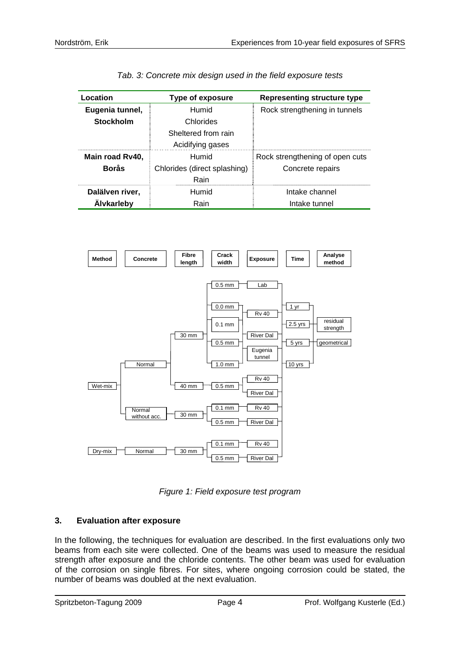| Location          | <b>Type of exposure</b>      | <b>Representing structure type</b> |  |
|-------------------|------------------------------|------------------------------------|--|
| Eugenia tunnel,   | Humid                        | Rock strengthening in tunnels      |  |
| <b>Stockholm</b>  | Chlorides                    |                                    |  |
|                   | Sheltered from rain          |                                    |  |
|                   | Acidifying gases             |                                    |  |
| Main road Rv40,   | Humid                        | Rock strengthening of open cuts    |  |
| <b>Borås</b>      | Chlorides (direct splashing) | Concrete repairs                   |  |
|                   | Rain                         |                                    |  |
| Dalälven river,   | Humid                        | Intake channel                     |  |
| <b>Alvkarleby</b> | Rain                         | Intake tunnel                      |  |

| Tab. 3: Concrete mix design used in the field exposure tests |  |
|--------------------------------------------------------------|--|
|--------------------------------------------------------------|--|



*Figure 1: Field exposure test program* 

# **3. Evaluation after exposure**

In the following, the techniques for evaluation are described. In the first evaluations only two beams from each site were collected. One of the beams was used to measure the residual strength after exposure and the chloride contents. The other beam was used for evaluation of the corrosion on single fibres. For sites, where ongoing corrosion could be stated, the number of beams was doubled at the next evaluation.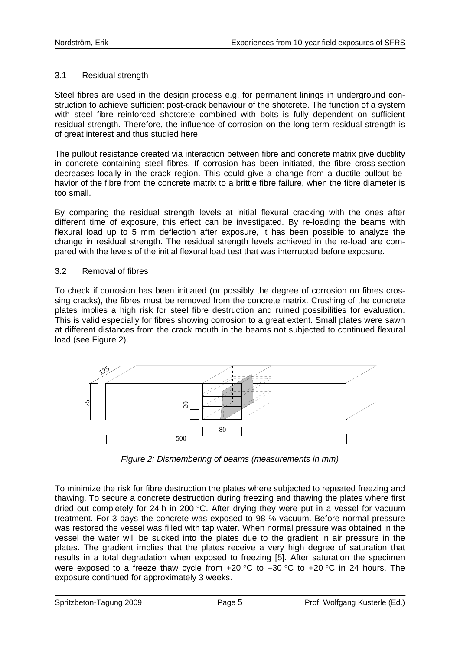### 3.1 Residual strength

Steel fibres are used in the design process e.g. for permanent linings in underground construction to achieve sufficient post-crack behaviour of the shotcrete. The function of a system with steel fibre reinforced shotcrete combined with bolts is fully dependent on sufficient residual strength. Therefore, the influence of corrosion on the long-term residual strength is of great interest and thus studied here.

The pullout resistance created via interaction between fibre and concrete matrix give ductility in concrete containing steel fibres. If corrosion has been initiated, the fibre cross-section decreases locally in the crack region. This could give a change from a ductile pullout behavior of the fibre from the concrete matrix to a brittle fibre failure, when the fibre diameter is too small.

By comparing the residual strength levels at initial flexural cracking with the ones after different time of exposure, this effect can be investigated. By re-loading the beams with flexural load up to 5 mm deflection after exposure, it has been possible to analyze the change in residual strength. The residual strength levels achieved in the re-load are compared with the levels of the initial flexural load test that was interrupted before exposure.

#### 3.2 Removal of fibres

To check if corrosion has been initiated (or possibly the degree of corrosion on fibres crossing cracks), the fibres must be removed from the concrete matrix. Crushing of the concrete plates implies a high risk for steel fibre destruction and ruined possibilities for evaluation. This is valid especially for fibres showing corrosion to a great extent. Small plates were sawn at different distances from the crack mouth in the beams not subjected to continued flexural load (see Figure 2).



*Figure 2: Dismembering of beams (measurements in mm)* 

To minimize the risk for fibre destruction the plates where subjected to repeated freezing and thawing. To secure a concrete destruction during freezing and thawing the plates where first dried out completely for 24 h in 200 °C. After drying they were put in a vessel for vacuum treatment. For 3 days the concrete was exposed to 98 % vacuum. Before normal pressure was restored the vessel was filled with tap water. When normal pressure was obtained in the vessel the water will be sucked into the plates due to the gradient in air pressure in the plates. The gradient implies that the plates receive a very high degree of saturation that results in a total degradation when exposed to freezing [5]. After saturation the specimen were exposed to a freeze thaw cycle from  $+20$  °C to  $-30$  °C to  $+20$  °C in 24 hours. The exposure continued for approximately 3 weeks.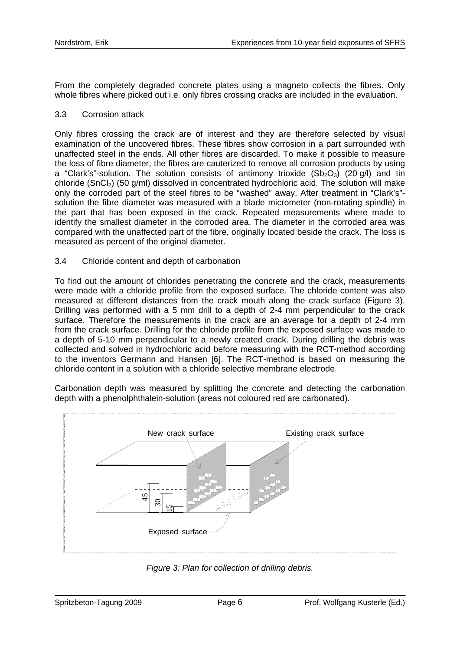From the completely degraded concrete plates using a magneto collects the fibres. Only whole fibres where picked out i.e. only fibres crossing cracks are included in the evaluation.

### 3.3 Corrosion attack

Only fibres crossing the crack are of interest and they are therefore selected by visual examination of the uncovered fibres. These fibres show corrosion in a part surrounded with unaffected steel in the ends. All other fibres are discarded. To make it possible to measure the loss of fibre diameter, the fibres are cauterized to remove all corrosion products by using a "Clark's"-solution. The solution consists of antimony trioxide  $(Sb_2O_3)$  (20 g/l) and tin chloride (SnCl<sub>2</sub>) (50 g/ml) dissolved in concentrated hydrochloric acid. The solution will make only the corroded part of the steel fibres to be "washed" away. After treatment in "Clark's" solution the fibre diameter was measured with a blade micrometer (non-rotating spindle) in the part that has been exposed in the crack. Repeated measurements where made to identify the smallest diameter in the corroded area. The diameter in the corroded area was compared with the unaffected part of the fibre, originally located beside the crack. The loss is measured as percent of the original diameter.

### 3.4 Chloride content and depth of carbonation

To find out the amount of chlorides penetrating the concrete and the crack, measurements were made with a chloride profile from the exposed surface. The chloride content was also measured at different distances from the crack mouth along the crack surface (Figure 3). Drilling was performed with a 5 mm drill to a depth of 2-4 mm perpendicular to the crack surface. Therefore the measurements in the crack are an average for a depth of 2-4 mm from the crack surface. Drilling for the chloride profile from the exposed surface was made to a depth of 5-10 mm perpendicular to a newly created crack. During drilling the debris was collected and solved in hydrochloric acid before measuring with the RCT-method according to the inventors Germann and Hansen [6]. The RCT-method is based on measuring the chloride content in a solution with a chloride selective membrane electrode.

Carbonation depth was measured by splitting the concrete and detecting the carbonation depth with a phenolphthalein-solution (areas not coloured red are carbonated).



*Figure 3: Plan for collection of drilling debris.*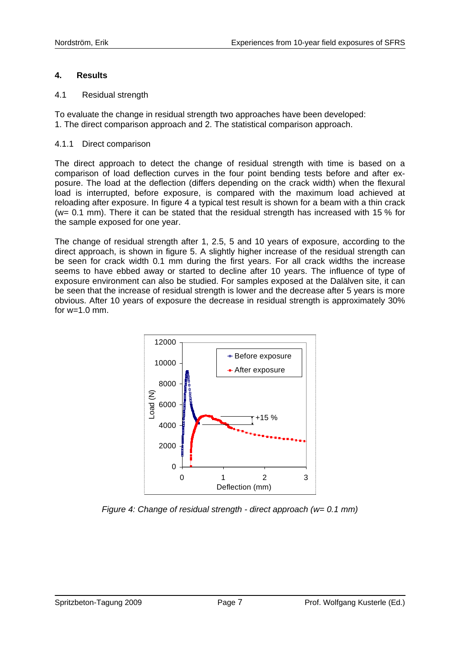### **4. Results**

#### 4.1 Residual strength

To evaluate the change in residual strength two approaches have been developed: 1. The direct comparison approach and 2. The statistical comparison approach.

#### 4.1.1 Direct comparison

The direct approach to detect the change of residual strength with time is based on a comparison of load deflection curves in the four point bending tests before and after exposure. The load at the deflection (differs depending on the crack width) when the flexural load is interrupted, before exposure, is compared with the maximum load achieved at reloading after exposure. In figure 4 a typical test result is shown for a beam with a thin crack (w= 0.1 mm). There it can be stated that the residual strength has increased with 15 % for the sample exposed for one year.

The change of residual strength after 1, 2.5, 5 and 10 years of exposure, according to the direct approach, is shown in figure 5. A slightly higher increase of the residual strength can be seen for crack width 0.1 mm during the first years. For all crack widths the increase seems to have ebbed away or started to decline after 10 years. The influence of type of exposure environment can also be studied. For samples exposed at the Dalälven site, it can be seen that the increase of residual strength is lower and the decrease after 5 years is more obvious. After 10 years of exposure the decrease in residual strength is approximately 30% for  $w=1.0$  mm.



*Figure 4: Change of residual strength - direct approach (w= 0.1 mm)*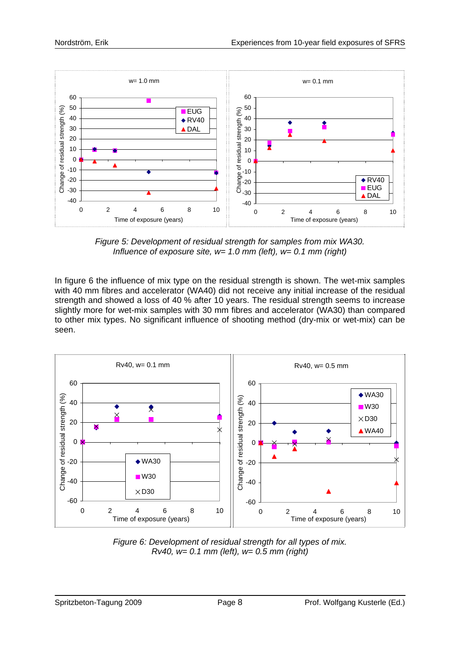

*Figure 5: Development of residual strength for samples from mix WA30. Influence of exposure site, w= 1.0 mm (left), w= 0.1 mm (right)* 

In figure 6 the influence of mix type on the residual strength is shown. The wet-mix samples with 40 mm fibres and accelerator (WA40) did not receive any initial increase of the residual strength and showed a loss of 40 % after 10 years. The residual strength seems to increase slightly more for wet-mix samples with 30 mm fibres and accelerator (WA30) than compared to other mix types. No significant influence of shooting method (dry-mix or wet-mix) can be seen.



*Figure 6: Development of residual strength for all types of mix. Rv40, w= 0.1 mm (left), w= 0.5 mm (right)*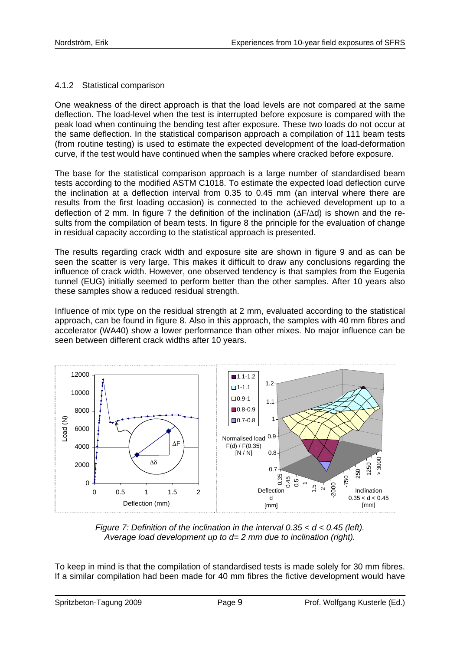# 4.1.2 Statistical comparison

One weakness of the direct approach is that the load levels are not compared at the same deflection. The load-level when the test is interrupted before exposure is compared with the peak load when continuing the bending test after exposure. These two loads do not occur at the same deflection. In the statistical comparison approach a compilation of 111 beam tests (from routine testing) is used to estimate the expected development of the load-deformation curve, if the test would have continued when the samples where cracked before exposure.

The base for the statistical comparison approach is a large number of standardised beam tests according to the modified ASTM C1018. To estimate the expected load deflection curve the inclination at a deflection interval from 0.35 to 0.45 mm (an interval where there are results from the first loading occasion) is connected to the achieved development up to a deflection of 2 mm. In figure 7 the definition of the inclination (ΔF/Δd) is shown and the results from the compilation of beam tests. In figure 8 the principle for the evaluation of change in residual capacity according to the statistical approach is presented.

The results regarding crack width and exposure site are shown in figure 9 and as can be seen the scatter is very large. This makes it difficult to draw any conclusions regarding the influence of crack width. However, one observed tendency is that samples from the Eugenia tunnel (EUG) initially seemed to perform better than the other samples. After 10 years also these samples show a reduced residual strength.

Influence of mix type on the residual strength at 2 mm, evaluated according to the statistical approach, can be found in figure 8. Also in this approach, the samples with 40 mm fibres and accelerator (WA40) show a lower performance than other mixes. No major influence can be seen between different crack widths after 10 years.



*Figure 7: Definition of the inclination in the interval 0.35 < d < 0.45 (left). Average load development up to d= 2 mm due to inclination (right).* 

To keep in mind is that the compilation of standardised tests is made solely for 30 mm fibres. If a similar compilation had been made for 40 mm fibres the fictive development would have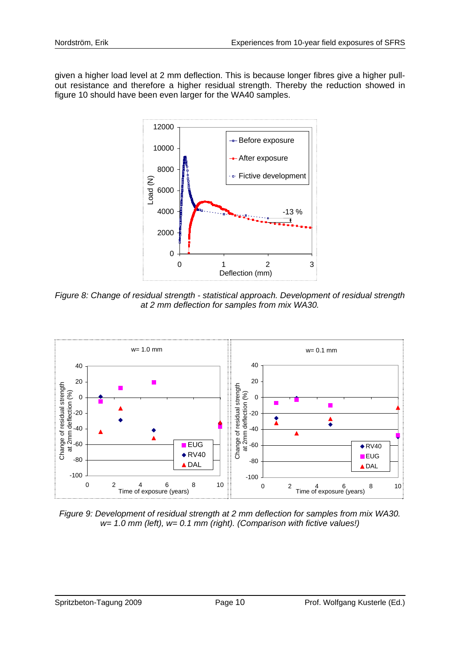given a higher load level at 2 mm deflection. This is because longer fibres give a higher pullout resistance and therefore a higher residual strength. Thereby the reduction showed in figure 10 should have been even larger for the WA40 samples.



*Figure 8: Change of residual strength - statistical approach. Development of residual strength at 2 mm deflection for samples from mix WA30.* 



*Figure 9: Development of residual strength at 2 mm deflection for samples from mix WA30. w= 1.0 mm (left), w= 0.1 mm (right). (Comparison with fictive values!)*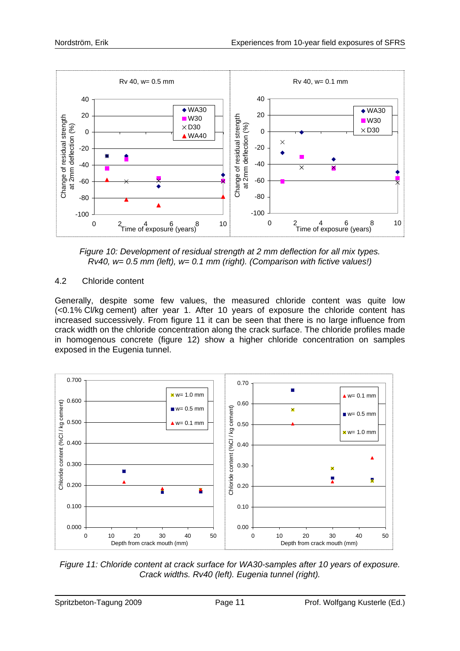

*Figure 10: Development of residual strength at 2 mm deflection for all mix types. Rv40, w= 0.5 mm (left), w= 0.1 mm (right). (Comparison with fictive values!)* 

# 4.2 Chloride content

Generally, despite some few values, the measured chloride content was quite low (<0.1% Cl/kg cement) after year 1. After 10 years of exposure the chloride content has increased successively. From figure 11 it can be seen that there is no large influence from crack width on the chloride concentration along the crack surface. The chloride profiles made in homogenous concrete (figure 12) show a higher chloride concentration on samples exposed in the Eugenia tunnel.



*Figure 11: Chloride content at crack surface for WA30-samples after 10 years of exposure. Crack widths. Rv40 (left). Eugenia tunnel (right).*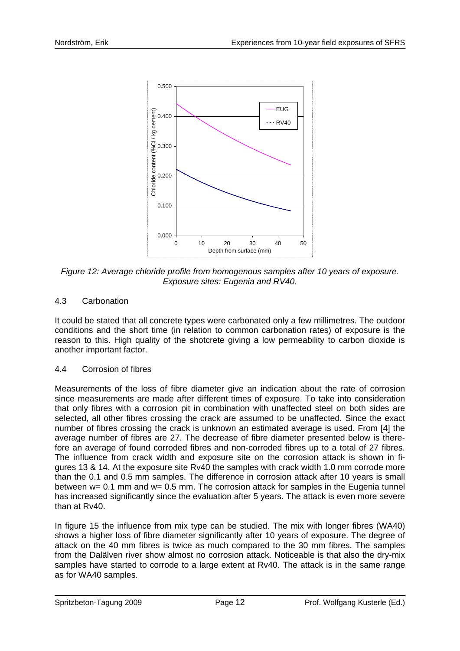

*Figure 12: Average chloride profile from homogenous samples after 10 years of exposure. Exposure sites: Eugenia and RV40.* 

# 4.3 Carbonation

It could be stated that all concrete types were carbonated only a few millimetres. The outdoor conditions and the short time (in relation to common carbonation rates) of exposure is the reason to this. High quality of the shotcrete giving a low permeability to carbon dioxide is another important factor.

# 4.4 Corrosion of fibres

Measurements of the loss of fibre diameter give an indication about the rate of corrosion since measurements are made after different times of exposure. To take into consideration that only fibres with a corrosion pit in combination with unaffected steel on both sides are selected, all other fibres crossing the crack are assumed to be unaffected. Since the exact number of fibres crossing the crack is unknown an estimated average is used. From [4] the average number of fibres are 27. The decrease of fibre diameter presented below is therefore an average of found corroded fibres and non-corroded fibres up to a total of 27 fibres. The influence from crack width and exposure site on the corrosion attack is shown in figures 13 & 14. At the exposure site Rv40 the samples with crack width 1.0 mm corrode more than the 0.1 and 0.5 mm samples. The difference in corrosion attack after 10 years is small between w= 0.1 mm and w= 0.5 mm. The corrosion attack for samples in the Eugenia tunnel has increased significantly since the evaluation after 5 years. The attack is even more severe than at Rv40.

In figure 15 the influence from mix type can be studied. The mix with longer fibres (WA40) shows a higher loss of fibre diameter significantly after 10 years of exposure. The degree of attack on the 40 mm fibres is twice as much compared to the 30 mm fibres. The samples from the Dalälven river show almost no corrosion attack. Noticeable is that also the dry-mix samples have started to corrode to a large extent at Rv40. The attack is in the same range as for WA40 samples.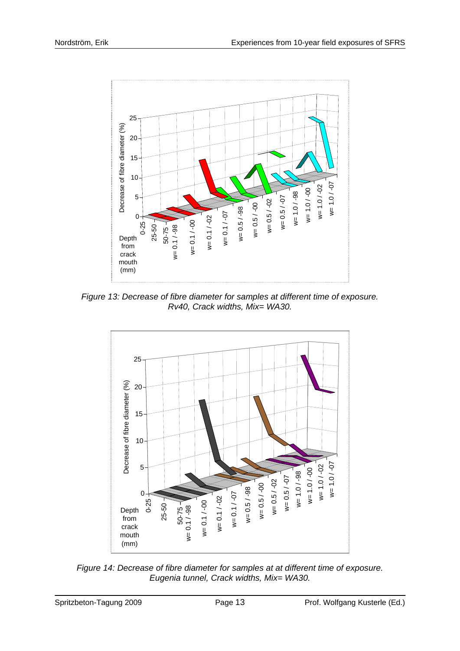

*Figure 13: Decrease of fibre diameter for samples at different time of exposure. Rv40, Crack widths, Mix= WA30.* 



*Figure 14: Decrease of fibre diameter for samples at at different time of exposure. Eugenia tunnel, Crack widths, Mix= WA30.*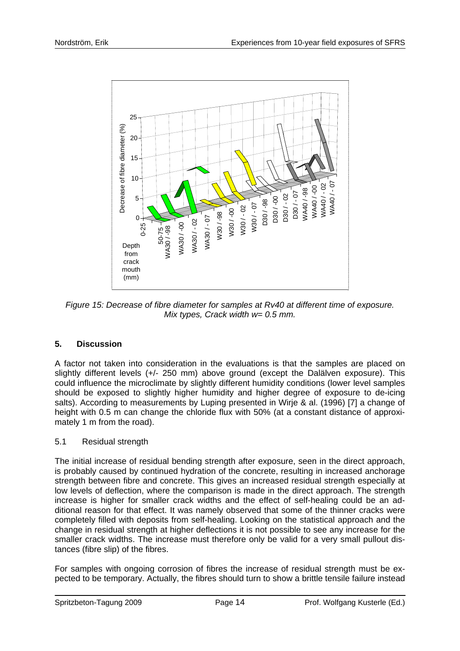

*Figure 15: Decrease of fibre diameter for samples at Rv40 at different time of exposure. Mix types, Crack width w= 0.5 mm.* 

# **5. Discussion**

A factor not taken into consideration in the evaluations is that the samples are placed on slightly different levels (+/- 250 mm) above ground (except the Dalälven exposure). This could influence the microclimate by slightly different humidity conditions (lower level samples should be exposed to slightly higher humidity and higher degree of exposure to de-icing salts). According to measurements by Luping presented in Wirje & al. (1996) [7] a change of height with 0.5 m can change the chloride flux with 50% (at a constant distance of approximately 1 m from the road).

# 5.1 Residual strength

Figure 15: Decrease of thick diameter for samples at Ry40 at different time of exposure.<br>
The state of the state of the state of the state of the state of the state of the state of the state of the state of the state of t The initial increase of residual bending strength after exposure, seen in the direct approach, is probably caused by continued hydration of the concrete, resulting in increased anchorage strength between fibre and concrete. This gives an increased residual strength especially at low levels of deflection, where the comparison is made in the direct approach. The strength increase is higher for smaller crack widths and the effect of self-healing could be an additional reason for that effect. It was namely observed that some of the thinner cracks were completely filled with deposits from self-healing. Looking on the statistical approach and the change in residual strength at higher deflections it is not possible to see any increase for the smaller crack widths. The increase must therefore only be valid for a very small pullout distances (fibre slip) of the fibres.

For samples with ongoing corrosion of fibres the increase of residual strength must be expected to be temporary. Actually, the fibres should turn to show a brittle tensile failure instead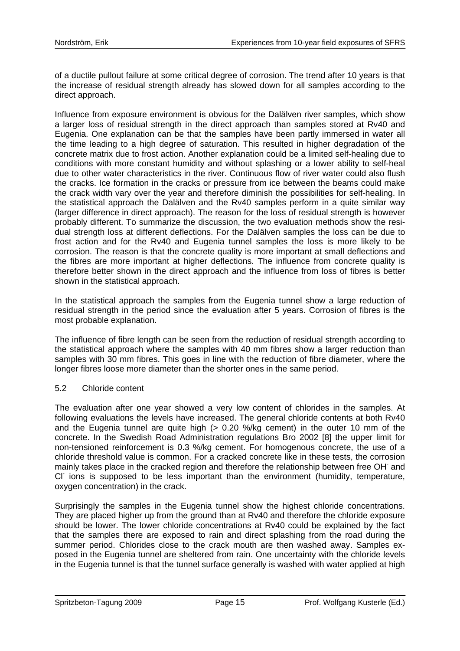of a ductile pullout failure at some critical degree of corrosion. The trend after 10 years is that the increase of residual strength already has slowed down for all samples according to the direct approach.

Influence from exposure environment is obvious for the Dalälven river samples, which show a larger loss of residual strength in the direct approach than samples stored at Rv40 and Eugenia. One explanation can be that the samples have been partly immersed in water all the time leading to a high degree of saturation. This resulted in higher degradation of the concrete matrix due to frost action. Another explanation could be a limited self-healing due to conditions with more constant humidity and without splashing or a lower ability to self-heal due to other water characteristics in the river. Continuous flow of river water could also flush the cracks. Ice formation in the cracks or pressure from ice between the beams could make the crack width vary over the year and therefore diminish the possibilities for self-healing. In the statistical approach the Dalälven and the Rv40 samples perform in a quite similar way (larger difference in direct approach). The reason for the loss of residual strength is however probably different. To summarize the discussion, the two evaluation methods show the residual strength loss at different deflections. For the Dalälven samples the loss can be due to frost action and for the Rv40 and Eugenia tunnel samples the loss is more likely to be corrosion. The reason is that the concrete quality is more important at small deflections and the fibres are more important at higher deflections. The influence from concrete quality is therefore better shown in the direct approach and the influence from loss of fibres is better shown in the statistical approach.

In the statistical approach the samples from the Eugenia tunnel show a large reduction of residual strength in the period since the evaluation after 5 years. Corrosion of fibres is the most probable explanation.

The influence of fibre length can be seen from the reduction of residual strength according to the statistical approach where the samples with 40 mm fibres show a larger reduction than samples with 30 mm fibres. This goes in line with the reduction of fibre diameter, where the longer fibres loose more diameter than the shorter ones in the same period.

#### 5.2 Chloride content

The evaluation after one year showed a very low content of chlorides in the samples. At following evaluations the levels have increased. The general chloride contents at both Rv40 and the Eugenia tunnel are quite high (> 0.20 %/kg cement) in the outer 10 mm of the concrete. In the Swedish Road Administration regulations Bro 2002 [8] the upper limit for non-tensioned reinforcement is 0.3 %/kg cement. For homogenous concrete, the use of a chloride threshold value is common. For a cracked concrete like in these tests, the corrosion mainly takes place in the cracked region and therefore the relationship between free OH and CI ions is supposed to be less important than the environment (humidity, temperature, oxygen concentration) in the crack.

Surprisingly the samples in the Eugenia tunnel show the highest chloride concentrations. They are placed higher up from the ground than at Rv40 and therefore the chloride exposure should be lower. The lower chloride concentrations at Rv40 could be explained by the fact that the samples there are exposed to rain and direct splashing from the road during the summer period. Chlorides close to the crack mouth are then washed away. Samples exposed in the Eugenia tunnel are sheltered from rain. One uncertainty with the chloride levels in the Eugenia tunnel is that the tunnel surface generally is washed with water applied at high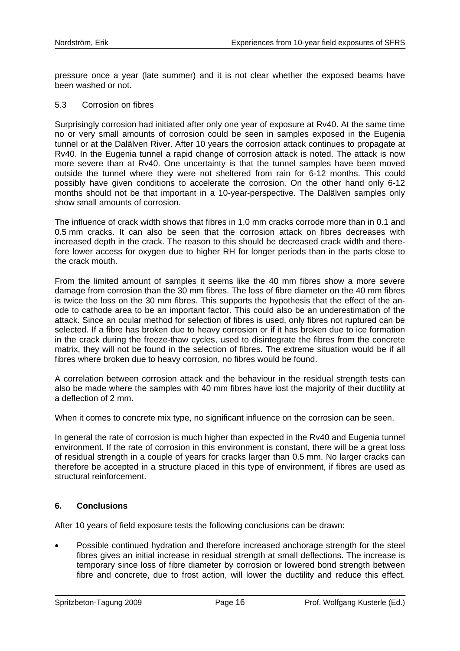pressure once a year (late summer) and it is not clear whether the exposed beams have been washed or not.

#### 5.3 Corrosion on fibres

Surprisingly corrosion had initiated after only one year of exposure at Rv40. At the same time no or very small amounts of corrosion could be seen in samples exposed in the Eugenia tunnel or at the Dalälven River. After 10 years the corrosion attack continues to propagate at Rv40. In the Eugenia tunnel a rapid change of corrosion attack is noted. The attack is now more severe than at Rv40. One uncertainty is that the tunnel samples have been moved outside the tunnel where they were not sheltered from rain for 6-12 months. This could possibly have given conditions to accelerate the corrosion. On the other hand only 6-12 months should not be that important in a 10-year-perspective. The Dalälven samples only show small amounts of corrosion.

The influence of crack width shows that fibres in 1.0 mm cracks corrode more than in 0.1 and 0.5 mm cracks. It can also be seen that the corrosion attack on fibres decreases with increased depth in the crack. The reason to this should be decreased crack width and therefore lower access for oxygen due to higher RH for longer periods than in the parts close to the crack mouth.

From the limited amount of samples it seems like the 40 mm fibres show a more severe damage from corrosion than the 30 mm fibres. The loss of fibre diameter on the 40 mm fibres is twice the loss on the 30 mm fibres. This supports the hypothesis that the effect of the anode to cathode area to be an important factor. This could also be an underestimation of the attack. Since an ocular method for selection of fibres is used, only fibres not ruptured can be selected. If a fibre has broken due to heavy corrosion or if it has broken due to ice formation in the crack during the freeze-thaw cycles, used to disintegrate the fibres from the concrete matrix, they will not be found in the selection of fibres. The extreme situation would be if all fibres where broken due to heavy corrosion, no fibres would be found.

A correlation between corrosion attack and the behaviour in the residual strength tests can also be made where the samples with 40 mm fibres have lost the majority of their ductility at a deflection of 2 mm.

When it comes to concrete mix type, no significant influence on the corrosion can be seen.

In general the rate of corrosion is much higher than expected in the Rv40 and Eugenia tunnel environment. If the rate of corrosion in this environment is constant, there will be a great loss of residual strength in a couple of years for cracks larger than 0.5 mm. No larger cracks can therefore be accepted in a structure placed in this type of environment, if fibres are used as structural reinforcement.

#### **6. Conclusions**

After 10 years of field exposure tests the following conclusions can be drawn:

• Possible continued hydration and therefore increased anchorage strength for the steel fibres gives an initial increase in residual strength at small deflections. The increase is temporary since loss of fibre diameter by corrosion or lowered bond strength between fibre and concrete, due to frost action, will lower the ductility and reduce this effect.